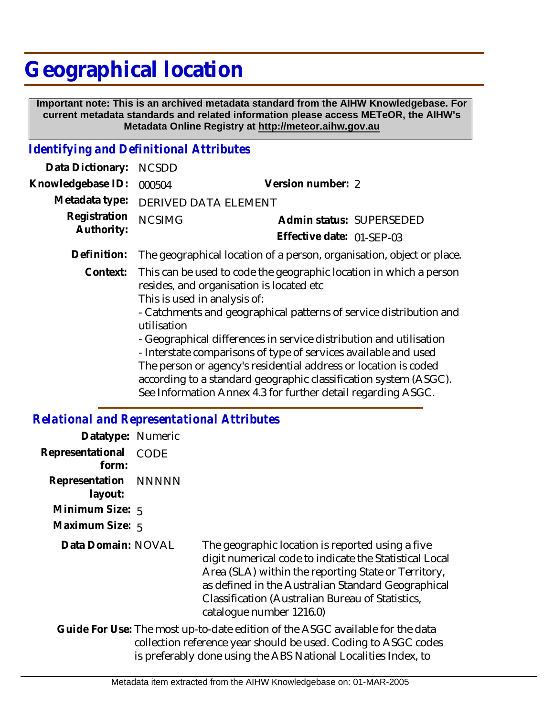## **Geographical location**

 **Important note: This is an archived metadata standard from the AIHW Knowledgebase. For current metadata standards and related information please access METeOR, the AIHW's Metadata Online Registry at http://meteor.aihw.gov.au**

## *Identifying and Definitional Attributes*

| Data Dictionary:                             | <b>NCSDD</b>                                                                                                                                                                                                                                                                                                                                                                                                                                                                                                                                                                        |                                                                       |  |
|----------------------------------------------|-------------------------------------------------------------------------------------------------------------------------------------------------------------------------------------------------------------------------------------------------------------------------------------------------------------------------------------------------------------------------------------------------------------------------------------------------------------------------------------------------------------------------------------------------------------------------------------|-----------------------------------------------------------------------|--|
| Knowledgebase ID:                            | 000504                                                                                                                                                                                                                                                                                                                                                                                                                                                                                                                                                                              | Version number: 2                                                     |  |
| Metadata type:<br>Registration<br>Authority: | <b>DERIVED DATA ELEMENT</b>                                                                                                                                                                                                                                                                                                                                                                                                                                                                                                                                                         |                                                                       |  |
|                                              | <b>NCSIMG</b>                                                                                                                                                                                                                                                                                                                                                                                                                                                                                                                                                                       | Admin status: SUPERSEDED                                              |  |
|                                              |                                                                                                                                                                                                                                                                                                                                                                                                                                                                                                                                                                                     | Effective date: 01-SEP-03                                             |  |
| Definition:                                  |                                                                                                                                                                                                                                                                                                                                                                                                                                                                                                                                                                                     | The geographical location of a person, organisation, object or place. |  |
| Context:                                     | This can be used to code the geographic location in which a person<br>resides, and organisation is located etc<br>This is used in analysis of:<br>- Catchments and geographical patterns of service distribution and<br>utilisation<br>- Geographical differences in service distribution and utilisation<br>- Interstate comparisons of type of services available and used<br>The person or agency's residential address or location is coded<br>according to a standard geographic classification system (ASGC).<br>See Information Annex 4.3 for further detail regarding ASGC. |                                                                       |  |

## *Relational and Representational Attributes*

| Datatype: Numeric               |             |                                                                                                                                                                                                                                                                                                         |
|---------------------------------|-------------|---------------------------------------------------------------------------------------------------------------------------------------------------------------------------------------------------------------------------------------------------------------------------------------------------------|
| Representational<br>form:       | <b>CODE</b> |                                                                                                                                                                                                                                                                                                         |
| Representation NNNNN<br>layout: |             |                                                                                                                                                                                                                                                                                                         |
| Minimum Size: 5                 |             |                                                                                                                                                                                                                                                                                                         |
| Maximum Size: 5                 |             |                                                                                                                                                                                                                                                                                                         |
| Data Domain: NOVAL              |             | The geographic location is reported using a five<br>digit numerical code to indicate the Statistical Local<br>Area (SLA) within the reporting State or Territory,<br>as defined in the Australian Standard Geographical<br>Classification (Australian Bureau of Statistics,<br>catalogue number 1216.0) |
|                                 |             | Guide For Use: The most up-to-date edition of the ASGC available for the data<br>collection reference year should be used. Coding to ASGC codes<br>is preferably done using the ABS National Localities Index, to                                                                                       |